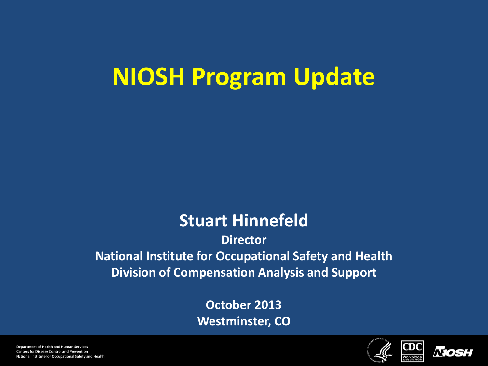### **NIOSH Program Update**

#### **Stuart Hinnefeld**

**Director National Institute for Occupational Safety and Health Division of Compensation Analysis and Support**

> **October 2013 Westminster, CO**



CDC



Department of Health and Human Services **Centers for Disease Control and Prevention** National Institute for Occupational Safety and Health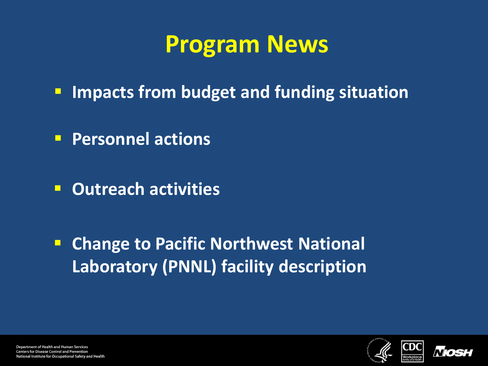#### **Program News**

- **IMPERED FROM budget and funding situation**
- **Personnel actions**
- **Outreach activities**

**E** Change to Pacific Northwest National **Laboratory (PNNL) facility description**



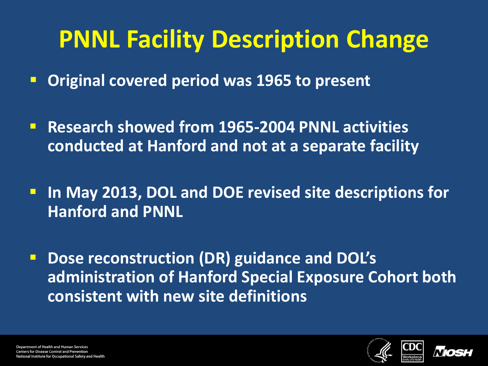### **PNNL Facility Description Change**

**Original covered period was 1965 to present**

- **Research showed from 1965-2004 PNNL activities conducted at Hanford and not at a separate facility**
- **In May 2013, DOL and DOE revised site descriptions for Hanford and PNNL**
- **P** Dose reconstruction (DR) guidance and DOL's **administration of Hanford Special Exposure Cohort both consistent with new site definitions**



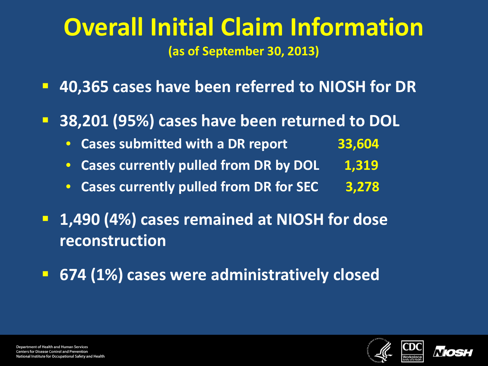#### **Overall Initial Claim Information (as of September 30, 2013)**

- **40,365 cases have been referred to NIOSH for DR**
- **38,201 (95%) cases have been returned to DOL**
	- **Cases submitted with a DR report 33,604**
	- Cases currently pulled from DR by DOL 1,319
	- **Cases currently pulled from DR for SEC 3,278**
- **1,490 (4%) cases remained at NIOSH for dose reconstruction**
- **674 (1%) cases were administratively closed**



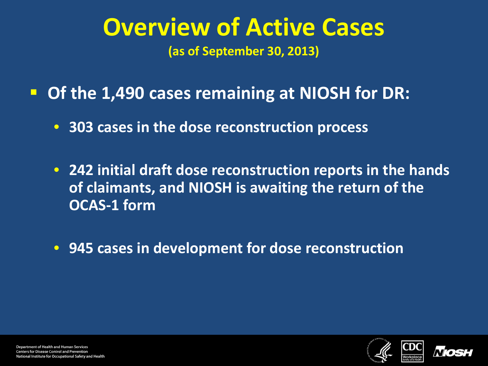# **Overview of Active Cases**

**(as of September 30, 2013)**

- **Of the 1,490 cases remaining at NIOSH for DR:**
	- **303 cases in the dose reconstruction process**
	- **242 initial draft dose reconstruction reports in the hands of claimants, and NIOSH is awaiting the return of the OCAS-1 form**
	- **945 cases in development for dose reconstruction**



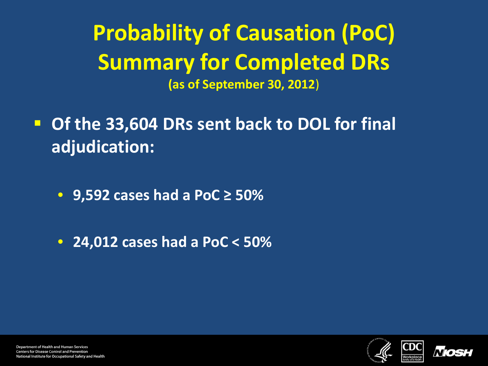**Probability of Causation (PoC) Summary for Completed DRs (as of September 30, 2012**)

**Of the 33,604 DRs sent back to DOL for final adjudication:**

- **9,592 cases had a PoC ≥ 50%**
- **24,012 cases had a PoC < 50%**



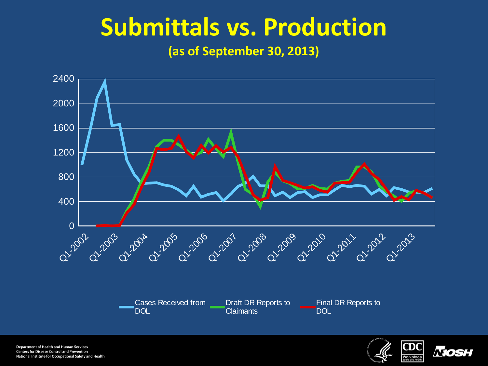#### **Submittals vs. Production**

**(as of September 30, 2013)**



Department of Health and Human Services **Centers for Disease Control and Prevention** National Institute for Occupational Safety and Health



*Nosi*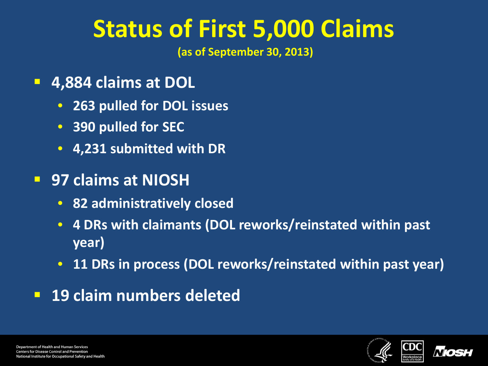### **Status of First 5,000 Claims**

**(as of September 30, 2013)** 

- **4,884 claims at DOL**
	- **263 pulled for DOL issues**
	- **390 pulled for SEC**
	- **4,231 submitted with DR**
- **97 claims at NIOSH**
	- **82 administratively closed**
	- **4 DRs with claimants (DOL reworks/reinstated within past year)**
	- **11 DRs in process (DOL reworks/reinstated within past year)**
- **19 claim numbers deleted**



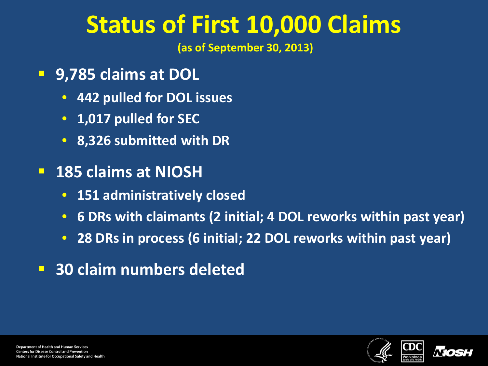#### **Status of First 10,000 Claims**

**(as of September 30, 2013)** 

- **9,785 claims at DOL**
	- **442 pulled for DOL issues**
	- **1,017 pulled for SEC**
	- **8,326 submitted with DR**
- **185 claims at NIOSH**
	- **151 administratively closed**
	- **6 DRs with claimants (2 initial; 4 DOL reworks within past year)**
	- **28 DRs in process (6 initial; 22 DOL reworks within past year)**
- **30 claim numbers deleted**



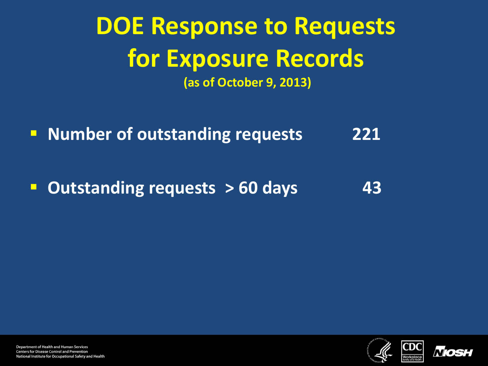#### **DOE Response to Requests for Exposure Records (as of October 9, 2013)**

**Number of outstanding requests 221** 

**Dutstanding requests > 60 days** 43





Department of Health and Human Services **Centers for Disease Control and Prevention** National Institute for Occupational Safety and Health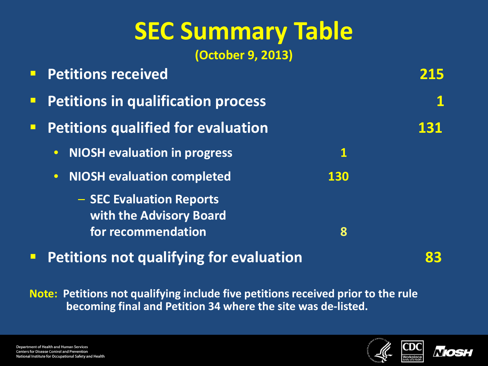## **SEC Summary Table**

**(October 9, 2013)**

|        | <b>Petitions received</b>                           |          |     |
|--------|-----------------------------------------------------|----------|-----|
| $\Box$ | <b>Petitions in qualification process</b>           |          |     |
| $\Box$ | <b>Petitions qualified for evaluation</b>           |          | 131 |
|        | <b>NIOSH evaluation in progress</b><br>$ \bullet $  | <u>1</u> |     |
|        | <b>NIOSH evaluation completed</b><br>$  \bullet  $  | 130      |     |
|        | - SEC Evaluation Reports<br>with the Advisory Board |          |     |
|        | for recommendation                                  | 8        |     |
|        |                                                     |          |     |

**Petitions not qualifying for evaluation 83** 

**Note: Petitions not qualifying include five petitions received prior to the rule becoming final and Petition 34 where the site was de-listed.**